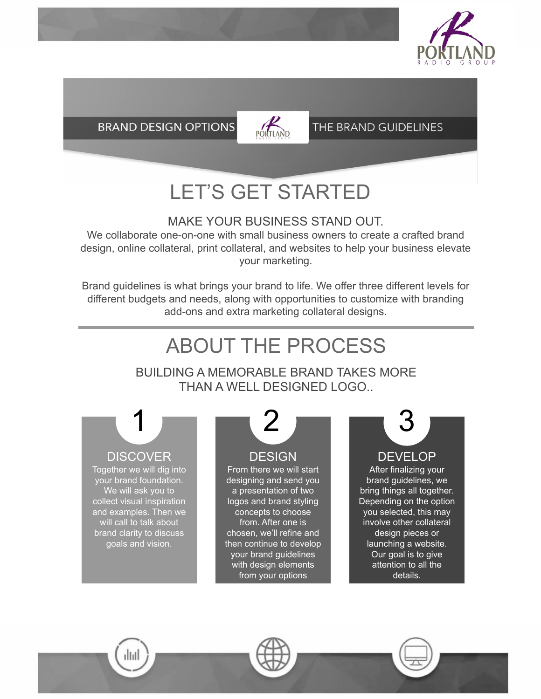

**BRAND DESIGN OPTIONS** 



#### THE BRAND GUIDELINES

### LET'S GET STARTED

#### MAKE YOUR BUSINESS STAND OUT.

We collaborate one-on-one with small business owners to create a crafted brand design, online collateral, print collateral, and websites to help your business elevate your marketing.

Brand guidelines is what brings your brand to life. We offer three different levels for different budgets and needs, along with opportunities to customize with branding add-ons and extra marketing collateral designs.

### ABOUT THE PROCESS

BUILDING A MEMORABLE BRAND TAKES MORE THAN A WELL DESIGNED LOGO..

**DISCOVER** 

Together we will dig into your brand foundation. We will ask you to collect visual inspiration and examples. Then we will call to talk about brand clarity to discuss goals and vision.

ılııl

#### **DESIGN**

From there we will start designing and send you a presentation of two logos and brand styling concepts to choose from. After one is chosen, we'll refine and then continue to develop your brand guidelines with design elements from your options

# 1 2 3

DEVELOP

After finalizing your brand guidelines, we bring things all together. Depending on the option you selected, this may involve other collateral design pieces or launching a website. Our goal is to give attention to all the details.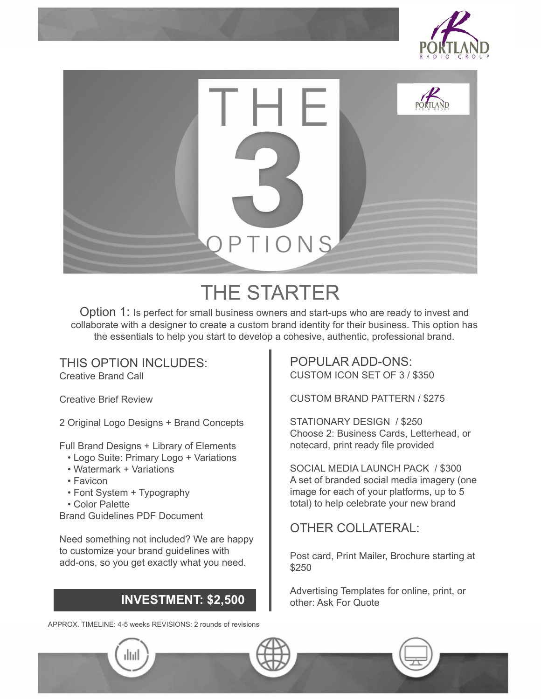



### THE STARTER

Option 1: Is perfect for small business owners and start-ups who are ready to invest and collaborate with a designer to create a custom brand identity for their business. This option has the essentials to help you start to develop a cohesive, authentic, professional brand.

THIS OPTION INCLUDES: Creative Brand Call

Creative Brief Review

2 Original Logo Designs + Brand Concepts

Full Brand Designs + Library of Elements

- Logo Suite: Primary Logo + Variations
- Watermark + Variations
- Favicon
- Font System + Typography
- Color Palette

Brand Guidelines PDF Document

Need something not included? We are happy to customize your brand guidelines with add-ons, so you get exactly what you need.

#### INVESTMENT: \$2,500

APPROX. TIMELINE: 4-5 weeks REVISIONS: 2 rounds of revisions

POPULAR ADD-ONS: CUSTOM ICON SET OF 3 / \$350

CUSTOM BRAND PATTERN / \$275

STATIONARY DESIGN / \$250 Choose 2: Business Cards, Letterhead, or notecard, print ready file provided

SOCIAL MEDIA LAUNCH PACK / \$300 A set of branded social media imagery (one image for each of your platforms, up to 5 total) to help celebrate your new brand

#### OTHER COLLATERAL:

Post card, Print Mailer, Brochure starting at \$250

Advertising Templates for online, print, or other: Ask For Quote



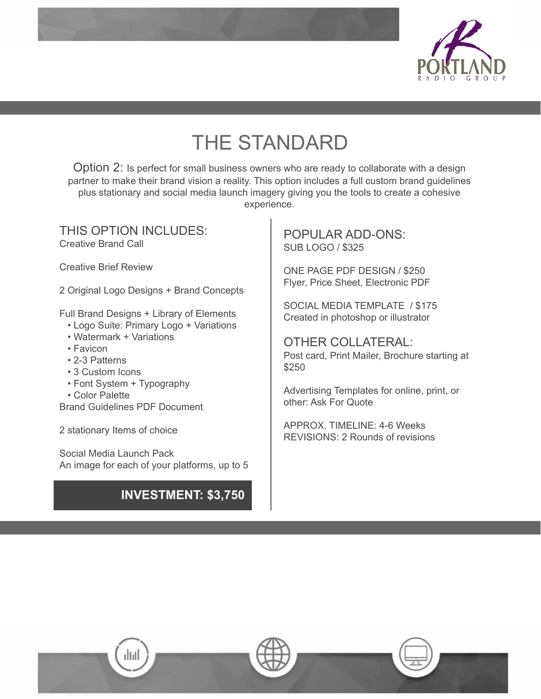

### THE STANDARD

Option 2: Is perfect for small business owners who are ready to collaborate with a design partner to make their brand vision a reality. This option includes a full custom brand guidelines plus stationary and social media launch imagery giving you the tools to create a cohesive experience.

THIS OPTION INCLUDES: Creative Brand Call

Creative Brief Review

2 Original Logo Designs + Brand Concepts

Full Brand Designs + Library of Elements

- Logo Suite: Primary Logo + Variations
- Watermark + Variations
- Favicon
- 2-3 Patterns
- 3 Custom Icons
- Font System + Typography
- Color Palette

Brand Guidelines PDF Document

ıllıll

2 stationary Items of choice

Social Media Launch Pack An image for each of your platforms, up to 5

#### INVESTMENT: \$3,750

POPULAR ADD-ONS: SUB LOGO / \$325

ONE PAGE PDF DESIGN / \$250 Flyer, Price Sheet, Electronic PDF

SOCIAL MEDIA TEMPLATE / \$175 Created in photoshop or illustrator

OTHER COLLATERAL: Post card, Print Mailer, Brochure starting at \$250

Advertising Templates for online, print, or other: Ask For Quote

APPROX. TIMELINE: 4-6 Weeks REVISIONS: 2 Rounds of revisions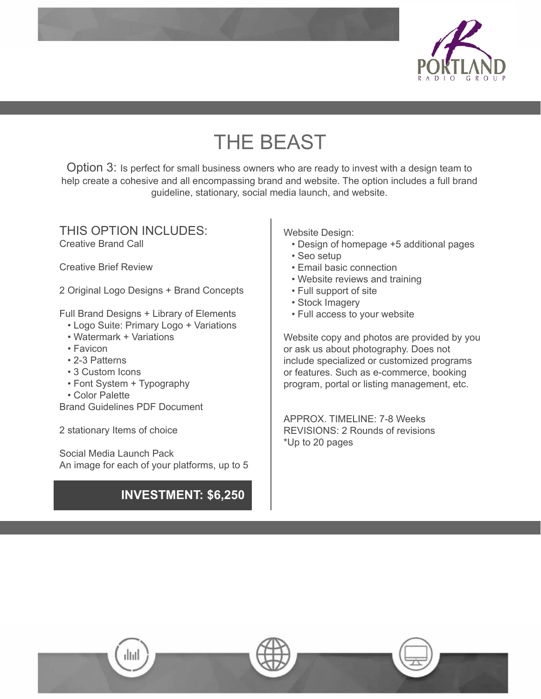

### THE BEAST

Option 3: Is perfect for small business owners who are ready to invest with a design team to help create a cohesive and all encompassing brand and website. The option includes a full brand guideline, stationary, social media launch, and website.

#### THIS OPTION INCLUDES: Creative Brand Call

Creative Brief Review

2 Original Logo Designs + Brand Concepts

Full Brand Designs + Library of Elements

- Logo Suite: Primary Logo + Variations
- Watermark + Variations
- Favicon
- 2-3 Patterns
- 3 Custom Icons
- Font System + Typography
- Color Palette

Brand Guidelines PDF Document

2 stationary Items of choice

Social Media Launch Pack An image for each of your platforms, up to 5

#### INVESTMENT: \$6,250

Website Design:

- Design of homepage +5 additional pages
- Seo setup
- Email basic connection
- Website reviews and training
- Full support of site
- Stock Imagery
- Full access to your website

Website copy and photos are provided by you or ask us about photography. Does not include specialized or customized programs or features. Such as e-commerce, booking program, portal or listing management, etc.

APPROX. TIMELINE: 7-8 Weeks REVISIONS: 2 Rounds of revisions \*Up to 20 pages